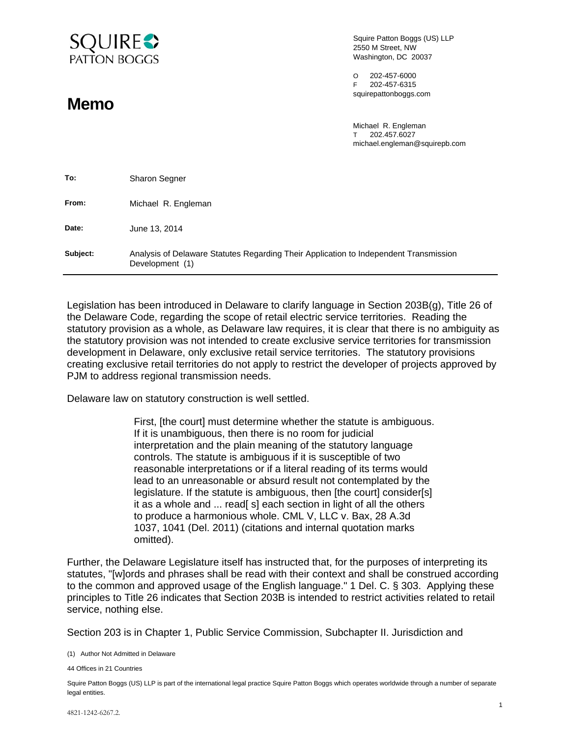

**Memo** 

Squire Patton Boggs (US) LLP 2550 M Street, NW Washington, DC 20037

O 202-457-6000 F 202-457-6315 squirepattonboggs.com

Michael R. Engleman T 202.457.6027 michael.engleman@squirepb.com

| To:      | <b>Sharon Segner</b>                                                                                     |
|----------|----------------------------------------------------------------------------------------------------------|
| From:    | Michael R. Engleman                                                                                      |
| Date:    | June 13, 2014                                                                                            |
| Subject: | Analysis of Delaware Statutes Regarding Their Application to Independent Transmission<br>Development (1) |

Legislation has been introduced in Delaware to clarify language in Section 203B(g), Title 26 of the Delaware Code, regarding the scope of retail electric service territories. Reading the statutory provision as a whole, as Delaware law requires, it is clear that there is no ambiguity as the statutory provision was not intended to create exclusive service territories for transmission development in Delaware, only exclusive retail service territories. The statutory provisions creating exclusive retail territories do not apply to restrict the developer of projects approved by PJM to address regional transmission needs.

Delaware law on statutory construction is well settled.

First, [the court] must determine whether the statute is ambiguous. If it is unambiguous, then there is no room for judicial interpretation and the plain meaning of the statutory language controls. The statute is ambiguous if it is susceptible of two reasonable interpretations or if a literal reading of its terms would lead to an unreasonable or absurd result not contemplated by the legislature. If the statute is ambiguous, then [the court] consider[s] it as a whole and ... read[ s] each section in light of all the others to produce a harmonious whole. CML V, LLC v. Bax, 28 A.3d 1037, 1041 (Del. 2011) (citations and internal quotation marks omitted).

Further, the Delaware Legislature itself has instructed that, for the purposes of interpreting its statutes, "[w]ords and phrases shall be read with their context and shall be construed according to the common and approved usage of the English language." 1 Del. C. § 303. Applying these principles to Title 26 indicates that Section 203B is intended to restrict activities related to retail service, nothing else.

Section 203 is in Chapter 1, Public Service Commission, Subchapter II. Jurisdiction and

(1) Author Not Admitted in Delaware

44 Offices in 21 Countries

Squire Patton Boggs (US) LLP is part of the international legal practice Squire Patton Boggs which operates worldwide through a number of separate legal entities.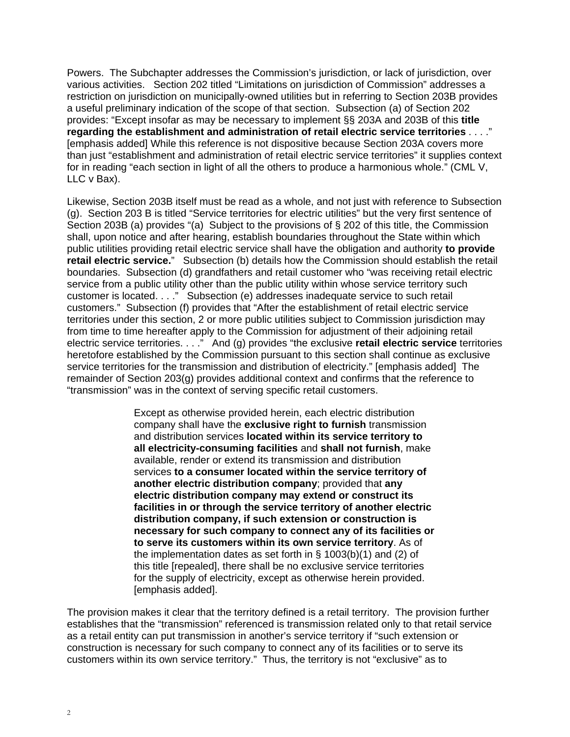Powers. The Subchapter addresses the Commission's jurisdiction, or lack of jurisdiction, over various activities. Section 202 titled "Limitations on jurisdiction of Commission" addresses a restriction on jurisdiction on municipally-owned utilities but in referring to Section 203B provides a useful preliminary indication of the scope of that section. Subsection (a) of Section 202 provides: "Except insofar as may be necessary to implement §§ 203A and 203B of this **title regarding the establishment and administration of retail electric service territories** . . . ." [emphasis added] While this reference is not dispositive because Section 203A covers more than just "establishment and administration of retail electric service territories" it supplies context for in reading "each section in light of all the others to produce a harmonious whole." (CML V, LLC v Bax).

Likewise, Section 203B itself must be read as a whole, and not just with reference to Subsection (g). Section 203 B is titled "Service territories for electric utilities" but the very first sentence of Section 203B (a) provides "(a) Subject to the provisions of § 202 of this title, the Commission shall, upon notice and after hearing, establish boundaries throughout the State within which public utilities providing retail electric service shall have the obligation and authority **to provide retail electric service.**" Subsection (b) details how the Commission should establish the retail boundaries. Subsection (d) grandfathers and retail customer who "was receiving retail electric service from a public utility other than the public utility within whose service territory such customer is located. . . ." Subsection (e) addresses inadequate service to such retail customers." Subsection (f) provides that "After the establishment of retail electric service territories under this section, 2 or more public utilities subject to Commission jurisdiction may from time to time hereafter apply to the Commission for adjustment of their adjoining retail electric service territories. . . ." And (g) provides "the exclusive **retail electric service** territories heretofore established by the Commission pursuant to this section shall continue as exclusive service territories for the transmission and distribution of electricity." [emphasis added] The remainder of Section 203(g) provides additional context and confirms that the reference to "transmission" was in the context of serving specific retail customers.

> Except as otherwise provided herein, each electric distribution company shall have the **exclusive right to furnish** transmission and distribution services **located within its service territory to all electricity-consuming facilities** and **shall not furnish**, make available, render or extend its transmission and distribution services **to a consumer located within the service territory of another electric distribution company**; provided that **any electric distribution company may extend or construct its facilities in or through the service territory of another electric distribution company, if such extension or construction is necessary for such company to connect any of its facilities or to serve its customers within its own service territory**. As of the implementation dates as set forth in § 1003(b)(1) and (2) of this title [repealed], there shall be no exclusive service territories for the supply of electricity, except as otherwise herein provided. [emphasis added].

The provision makes it clear that the territory defined is a retail territory. The provision further establishes that the "transmission" referenced is transmission related only to that retail service as a retail entity can put transmission in another's service territory if "such extension or construction is necessary for such company to connect any of its facilities or to serve its customers within its own service territory." Thus, the territory is not "exclusive" as to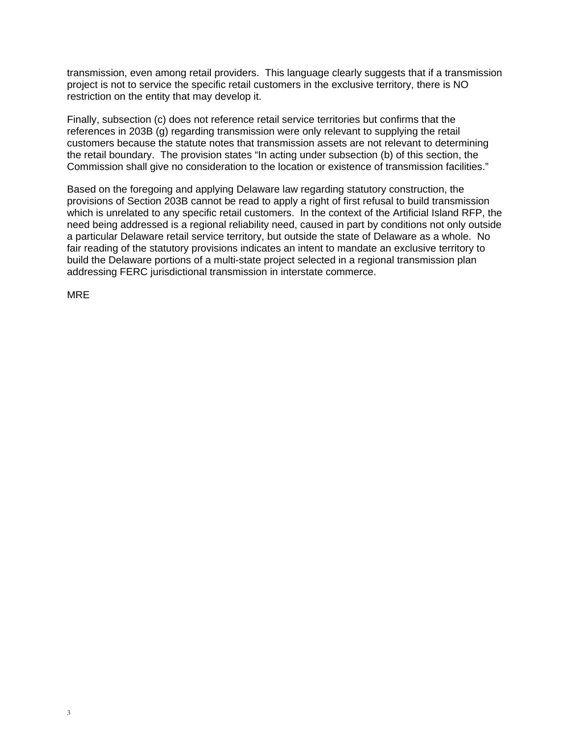transmission, even among retail providers. This language clearly suggests that if a transmission project is not to service the specific retail customers in the exclusive territory, there is NO restriction on the entity that may develop it.

Finally, subsection (c) does not reference retail service territories but confirms that the references in 203B (g) regarding transmission were only relevant to supplying the retail customers because the statute notes that transmission assets are not relevant to determining the retail boundary. The provision states "In acting under subsection (b) of this section, the Commission shall give no consideration to the location or existence of transmission facilities."

Based on the foregoing and applying Delaware law regarding statutory construction, the provisions of Section 203B cannot be read to apply a right of first refusal to build transmission which is unrelated to any specific retail customers. In the context of the Artificial Island RFP, the need being addressed is a regional reliability need, caused in part by conditions not only outside a particular Delaware retail service territory, but outside the state of Delaware as a whole. No fair reading of the statutory provisions indicates an intent to mandate an exclusive territory to build the Delaware portions of a multi-state project selected in a regional transmission plan addressing FERC jurisdictional transmission in interstate commerce.

MRE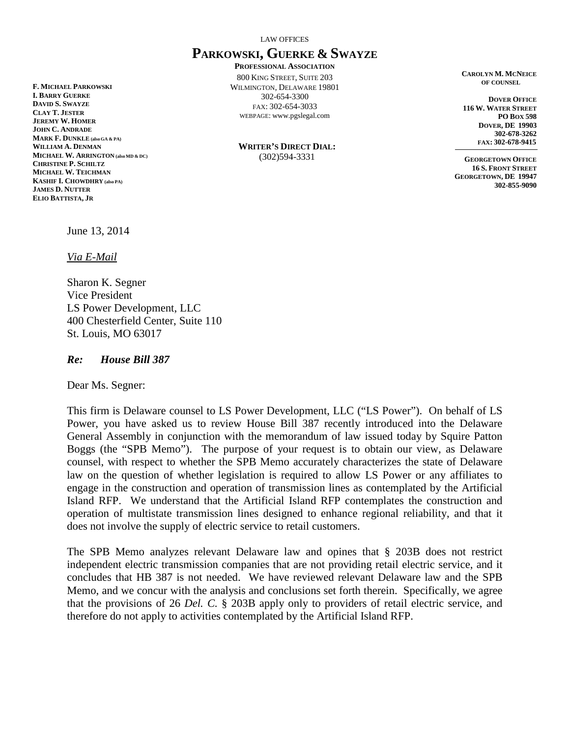LAW OFFICES

## **PARKOWSKI, GUERKE & SWAYZE**

**PROFESSIONAL ASSOCIATION** 800 KING STREET, SUITE 203 WILMINGTON, DELAWARE 19801 302-654-3300 FAX: 302-654-3033 WEBPAGE: www.pgslegal.com

**WRITER'S DIRECT DIAL:** (302)594-3331

**CAROLYN M. MCNEICE OF COUNSEL**

 **DOVER OFFICE 116 W. WATER STREET PO BOX 598 DOVER, DE 19903 302-678-3262 FAX: 302-678-9415**

**GEORGETOWN OFFICE 16 S. FRONT STREET GEORGETOWN, DE 19947 302-855-9090**

June 13, 2014

*Via E-Mail*

**MICHAEL W. ARRINGTON (also MD & DC)**

**F. MICHAEL PARKOWSKI I. BARRY GUERKE DAVID S. SWAYZE CLAY T. JESTER JEREMY W. HOMER JOHN C. ANDRADE MARK F. DUNKLE (also GA & PA) WILLIAM A. DENMAN**

**CHRISTINE P. SCHILTZ MICHAEL W. TEICHMAN KASHIF I. CHOWDHRY (also PA) JAMES D. NUTTER ELIO BATTISTA, JR**

> Sharon K. Segner Vice President LS Power Development, LLC 400 Chesterfield Center, Suite 110 St. Louis, MO 63017

*Re: House Bill 387*

Dear Ms. Segner:

This firm is Delaware counsel to LS Power Development, LLC ("LS Power"). On behalf of LS Power, you have asked us to review House Bill 387 recently introduced into the Delaware General Assembly in conjunction with the memorandum of law issued today by Squire Patton Boggs (the "SPB Memo"). The purpose of your request is to obtain our view, as Delaware counsel, with respect to whether the SPB Memo accurately characterizes the state of Delaware law on the question of whether legislation is required to allow LS Power or any affiliates to engage in the construction and operation of transmission lines as contemplated by the Artificial Island RFP. We understand that the Artificial Island RFP contemplates the construction and operation of multistate transmission lines designed to enhance regional reliability, and that it does not involve the supply of electric service to retail customers.

The SPB Memo analyzes relevant Delaware law and opines that § 203B does not restrict independent electric transmission companies that are not providing retail electric service, and it concludes that HB 387 is not needed. We have reviewed relevant Delaware law and the SPB Memo, and we concur with the analysis and conclusions set forth therein. Specifically, we agree that the provisions of 26 *Del. C.* § 203B apply only to providers of retail electric service, and therefore do not apply to activities contemplated by the Artificial Island RFP.